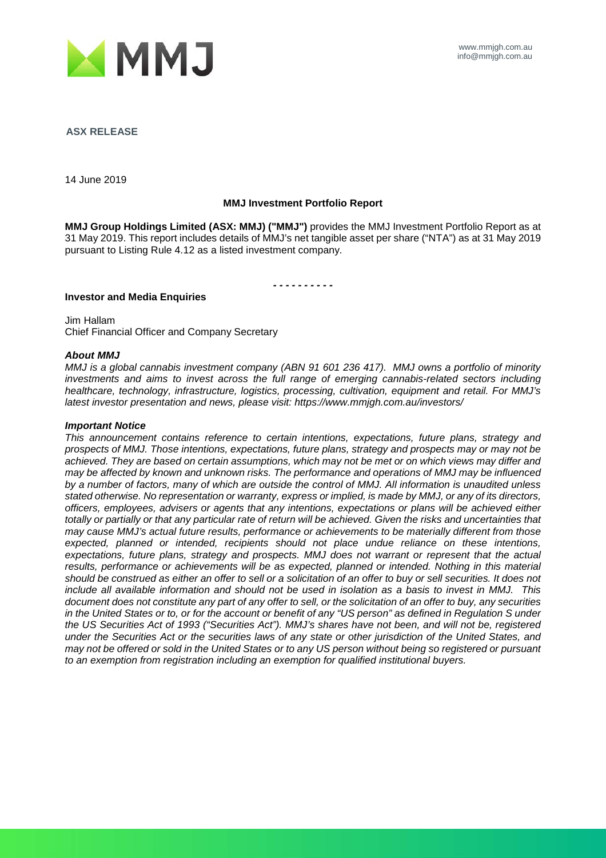

**ASX RELEASE**

14 June 2019

#### **MMJ Investment Portfolio Report**

**MMJ Group Holdings Limited (ASX: MMJ) ("MMJ")** provides the MMJ Investment Portfolio Report as at 31 May 2019. This report includes details of MMJ's net tangible asset per share ("NTA") as at 31 May 2019 pursuant to Listing Rule 4.12 as a listed investment company.

*- - - - - - - - - -*

**Investor and Media Enquiries**

Jim Hallam Chief Financial Officer and Company Secretary

#### *About MMJ*

*MMJ is a global cannabis investment company (ABN 91 601 236 417). MMJ owns a portfolio of minority investments and aims to invest across the full range of emerging cannabis-related sectors including healthcare, technology, infrastructure, logistics, processing, cultivation, equipment and retail. For MMJ's latest investor presentation and news, please visit: https://www.mmjgh.com.au/investors/*

#### *Important Notice*

*This announcement contains reference to certain intentions, expectations, future plans, strategy and prospects of MMJ. Those intentions, expectations, future plans, strategy and prospects may or may not be achieved. They are based on certain assumptions, which may not be met or on which views may differ and may be affected by known and unknown risks. The performance and operations of MMJ may be influenced by a number of factors, many of which are outside the control of MMJ. All information is unaudited unless stated otherwise. No representation or warranty, express or implied, is made by MMJ, or any of its directors, officers, employees, advisers or agents that any intentions, expectations or plans will be achieved either totally or partially or that any particular rate of return will be achieved. Given the risks and uncertainties that may cause MMJ's actual future results, performance or achievements to be materially different from those expected, planned or intended, recipients should not place undue reliance on these intentions, expectations, future plans, strategy and prospects. MMJ does not warrant or represent that the actual*  results, performance or achievements will be as expected, planned or intended. Nothing in this material *should be construed as either an offer to sell or a solicitation of an offer to buy or sell securities. It does not include all available information and should not be used in isolation as a basis to invest in MMJ. This document does not constitute any part of any offer to sell, or the solicitation of an offer to buy, any securities in the United States or to, or for the account or benefit of any "US person" as defined in Regulation S under the US Securities Act of 1993 ("Securities Act"). MMJ's shares have not been, and will not be, registered under the Securities Act or the securities laws of any state or other jurisdiction of the United States, and may not be offered or sold in the United States or to any US person without being so registered or pursuant to an exemption from registration including an exemption for qualified institutional buyers.*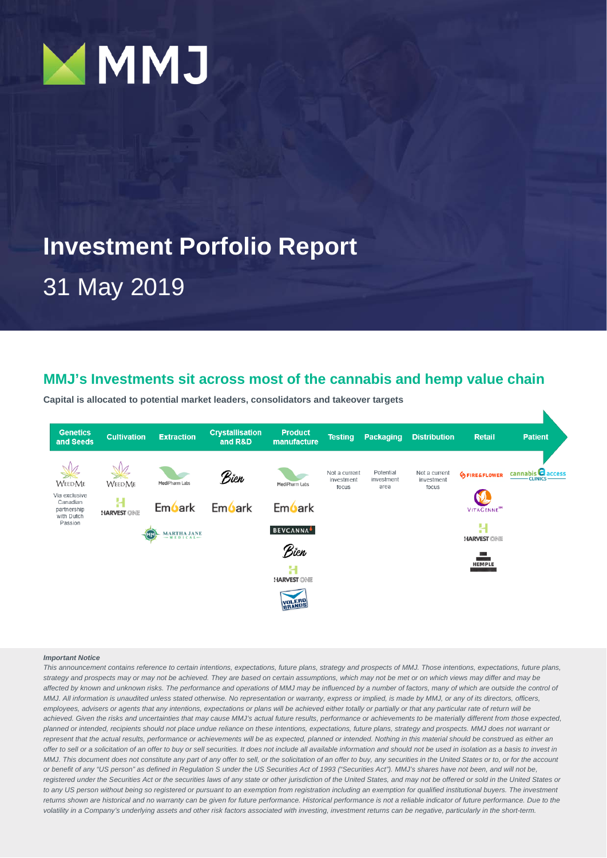

# **Investment Porfolio Report**

31 May 2019

# **MMJ's Investments sit across most of the cannabis and hemp value chain**

**Capital is allocated to potential market leaders, consolidators and takeover targets**



#### *Important Notice*

*This announcement contains reference to certain intentions, expectations, future plans, strategy and prospects of MMJ. Those intentions, expectations, future plans, strategy and prospects may or may not be achieved. They are based on certain assumptions, which may not be met or on which views may differ and may be*  affected by known and unknown risks. The performance and operations of MMJ may be influenced by a number of factors, many of which are outside the control of *MMJ. All information is unaudited unless stated otherwise. No representation or warranty, express or implied, is made by MMJ, or any of its directors, officers, employees, advisers or agents that any intentions, expectations or plans will be achieved either totally or partially or that any particular rate of return will be achieved. Given the risks and uncertainties that may cause MMJ's actual future results, performance or achievements to be materially different from those expected, planned or intended, recipients should not place undue reliance on these intentions, expectations, future plans, strategy and prospects. MMJ does not warrant or*  represent that the actual results, performance or achievements will be as expected, planned or intended. Nothing in this material should be construed as either an *offer to sell or a solicitation of an offer to buy or sell securities. It does not include all available information and should not be used in isolation as a basis to invest in MMJ. This document does not constitute any part of any offer to sell, or the solicitation of an offer to buy, any securities in the United States or to, or for the account or benefit of any "US person" as defined in Regulation S under the US Securities Act of 1993 ("Securities Act"). MMJ's shares have not been, and will not be,*  registered under the Securities Act or the securities laws of any state or other jurisdiction of the United States, and may not be offered or sold in the United States or *to any US person without being so registered or pursuant to an exemption from registration including an exemption for qualified institutional buyers. The investment*  returns shown are historical and no warranty can be given for future performance. Historical performance is not a reliable indicator of future performance. Due to the *volatility in a Company's underlying assets and other risk factors associated with investing, investment returns can be negative, particularly in the short-term.*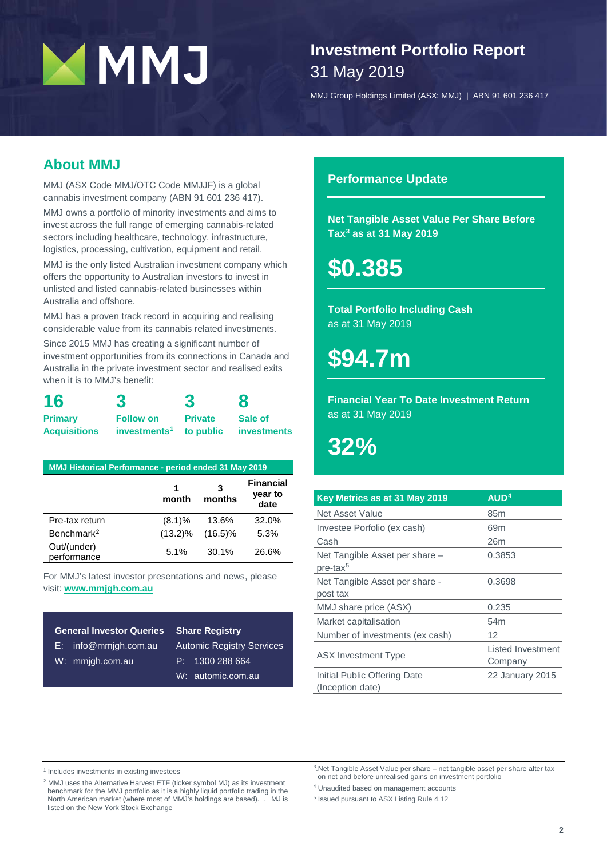# **MMJ**

# **Investment Portfolio Report** 31 May 2019

MMJ Group Holdings Limited (ASX: MMJ) | ABN 91 601 236 417

# **About MMJ**

MMJ (ASX Code MMJ/OTC Code MMJJF) is a global cannabis investment company (ABN 91 601 236 417).

MMJ owns a portfolio of minority investments and aims to invest across the full range of emerging cannabis-related sectors including healthcare, technology, infrastructure, logistics, processing, cultivation, equipment and retail.

MMJ is the only listed Australian investment company which offers the opportunity to Australian investors to invest in unlisted and listed cannabis-related businesses within Australia and offshore.

MMJ has a proven track record in acquiring and realising considerable value from its cannabis related investments.

Since 2015 MMJ has creating a significant number of investment opportunities from its connections in Canada and Australia in the private investment sector and realised exits when it is to MMJ's benefit:

| 16                  |                          | 3              | 8                  |
|---------------------|--------------------------|----------------|--------------------|
| <b>Primary</b>      | <b>Follow on</b>         | <b>Private</b> | Sale of            |
| <b>Acquisitions</b> | $investments1$ to public |                | <b>investments</b> |

| <b>MMJ Historical Performance - period ended 31 May 2019</b> |            |             |                                     |  |  |  |  |  |  |
|--------------------------------------------------------------|------------|-------------|-------------------------------------|--|--|--|--|--|--|
|                                                              | 1<br>month | 3<br>months | <b>Financial</b><br>year to<br>date |  |  |  |  |  |  |
| Pre-tax return                                               | (8.1)%     | 13.6%       | 32.0%                               |  |  |  |  |  |  |
| Benchmark <sup>2</sup>                                       | $(13.2)\%$ | $(16.5)\%$  | 5.3%                                |  |  |  |  |  |  |
| Out/(under)<br>performance                                   | 5.1%       | 30.1%       | 26.6%                               |  |  |  |  |  |  |

For MMJ's latest investor presentations and news, please visit: **ww[w.mmjgh.com.au](http://www.mmjgh.com.au/)**

#### **General Investor Queries**

- E: [info@mmjgh.com.au](mailto:info@mmjgh.com.au)
- W: mmjgh.com.au

Automic Registry Services P: 1300 288 664 W: [automic.com.au](http://www.automic.com.au/)

**Share Registry**

#### **Performance Update**

**Net Tangible Asset Value Per Share Before Ta[x3](#page-2-2) as at 31 May 2019**

**\$0.385**

**Total Portfolio Including Cash** as at 31 May 2019

**\$94.7m**

**Financial Year To Date Investment Return** as at 31 May 2019

**32%**

| Key Metrics as at 31 May 2019                    | AUD <sup>4</sup>             |
|--------------------------------------------------|------------------------------|
| Net Asset Value                                  | 85 <sub>m</sub>              |
| Investee Porfolio (ex cash)                      | 69m                          |
| Cash                                             | 26m                          |
| Net Tangible Asset per share -<br>$pre$ -tax $5$ | 0.3853                       |
| Net Tangible Asset per share -<br>post tax       | 0.3698                       |
| MMJ share price (ASX)                            | 0.235                        |
| Market capitalisation                            | 54 <sub>m</sub>              |
| Number of investments (ex cash)                  | 12                           |
| <b>ASX Investment Type</b>                       | Listed Investment<br>Company |
| Initial Public Offering Date<br>(Inception date) | 22 January 2015              |

<span id="page-2-2"></span><span id="page-2-0"></span><sup>1</sup> Includes investments in existing investees

<span id="page-2-4"></span><span id="page-2-3"></span><span id="page-2-1"></span><sup>2</sup> MMJ uses the Alternative Harvest ETF (ticker symbol MJ) as its investment benchmark for the MMJ portfolio as it is a highly liquid portfolio trading in the North American market (where most of MMJ's holdings are based). . MJ is listed on the New York Stock Exchange

3.Net Tangible Asset Value per share – net tangible asset per share after tax on net and before unrealised gains on investment portfolio

<sup>4</sup> Unaudited based on management accounts

<sup>5</sup> Issued pursuant to ASX Listing Rule 4.12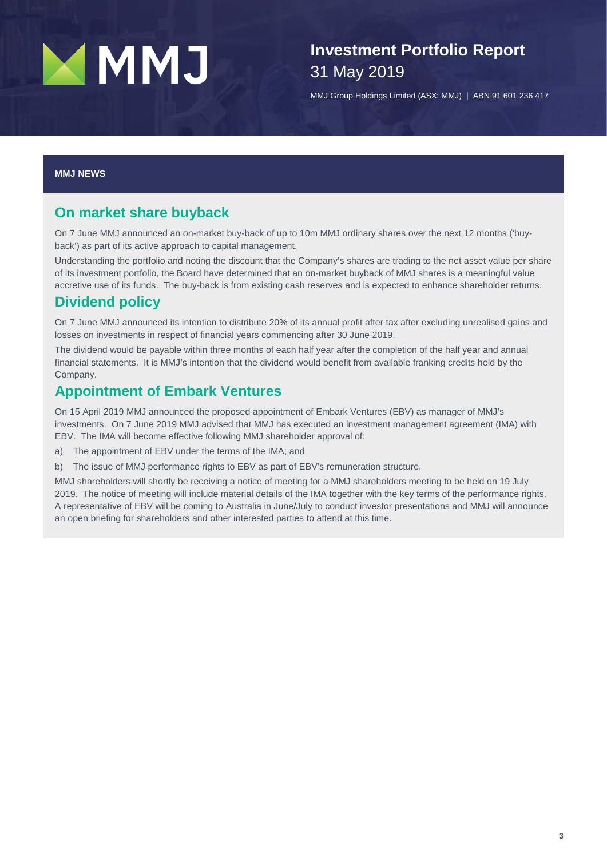# MMJ

**Investment Portfolio Report** 31 May 2019

MMJ Group Holdings Limited (ASX: MMJ) | ABN 91 601 236 417

#### **MMJ NEWS**

#### **On market share buyback**

On 7 June MMJ announced an on-market buy-back of up to 10m MMJ ordinary shares over the next 12 months ('buyback') as part of its active approach to capital management.

Understanding the portfolio and noting the discount that the Company's shares are trading to the net asset value per share of its investment portfolio, the Board have determined that an on-market buyback of MMJ shares is a meaningful value accretive use of its funds. The buy-back is from existing cash reserves and is expected to enhance shareholder returns.

### **Dividend policy**

On 7 June MMJ announced its intention to distribute 20% of its annual profit after tax after excluding unrealised gains and losses on investments in respect of financial years commencing after 30 June 2019.

The dividend would be payable within three months of each half year after the completion of the half year and annual financial statements. It is MMJ's intention that the dividend would benefit from available franking credits held by the Company.

#### **Appointment of Embark Ventures**

On 15 April 2019 MMJ announced the proposed appointment of Embark Ventures (EBV) as manager of MMJ's investments. On 7 June 2019 MMJ advised that MMJ has executed an investment management agreement (IMA) with EBV. The IMA will become effective following MMJ shareholder approval of:

- a) The appointment of EBV under the terms of the IMA; and
- b) The issue of MMJ performance rights to EBV as part of EBV's remuneration structure.

MMJ shareholders will shortly be receiving a notice of meeting for a MMJ shareholders meeting to be held on 19 July 2019. The notice of meeting will include material details of the IMA together with the key terms of the performance rights. A representative of EBV will be coming to Australia in June/July to conduct investor presentations and MMJ will announce an open briefing for shareholders and other interested parties to attend at this time.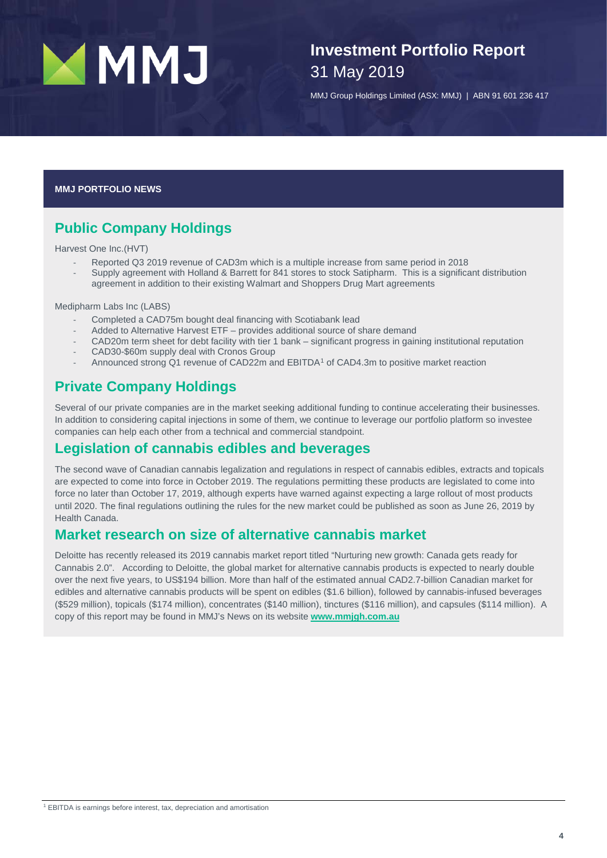

# **Investment Portfolio Report** 31 May 2019

MMJ Group Holdings Limited (ASX: MMJ) | ABN 91 601 236 417

**MMJ PORTFOLIO NEWS**

# **Public Company Holdings**

Harvest One Inc.(HVT)

- Reported Q3 2019 revenue of CAD3m which is a multiple increase from same period in 2018
- Supply agreement with Holland & Barrett for 841 stores to stock Satipharm. This is a significant distribution agreement in addition to their existing Walmart and Shoppers Drug Mart agreements

Medipharm Labs Inc (LABS)

- Completed a CAD75m bought deal financing with Scotiabank lead
- Added to Alternative Harvest ETF provides additional source of share demand
- CAD20m term sheet for debt facility with tier 1 bank significant progress in gaining institutional reputation
- CAD30-\$60m supply deal with Cronos Group
- Announced strong Q[1](#page-4-0) revenue of CAD22m and EBITDA<sup>1</sup> of CAD4.3m to positive market reaction

### **Private Company Holdings**

Several of our private companies are in the market seeking additional funding to continue accelerating their businesses. In addition to considering capital injections in some of them, we continue to leverage our portfolio platform so investee companies can help each other from a technical and commercial standpoint.

#### **Legislation of cannabis edibles and beverages**

The second wave of Canadian cannabis legalization and regulations in respect of cannabis edibles, extracts and topicals are expected to come into force in October 2019. The regulations permitting these products are legislated to come into force no later than October 17, 2019, although experts have warned against expecting a large rollout of most products until 2020. The final regulations outlining the rules for the new market could be published as soon as June 26, 2019 by Health Canada.

## **Market research on size of alternative cannabis market**

<span id="page-4-0"></span>Deloitte has recently released its 2019 cannabis market report titled "Nurturing new growth: Canada gets ready for Cannabis 2.0". According to Deloitte, the global market for alternative cannabis products is expected to nearly double over the next five years, to US\$194 billion. More than half of the estimated annual CAD2.7-billion Canadian market for edibles and alternative cannabis products will be spent on edibles (\$1.6 billion), followed by cannabis-infused beverages (\$529 million), topicals (\$174 million), concentrates (\$140 million), tinctures (\$116 million), and capsules (\$114 million). A copy of this report may be found in MMJ's News on its website **[www.mmjgh.com.au](http://www.mmjgh.com.au/)**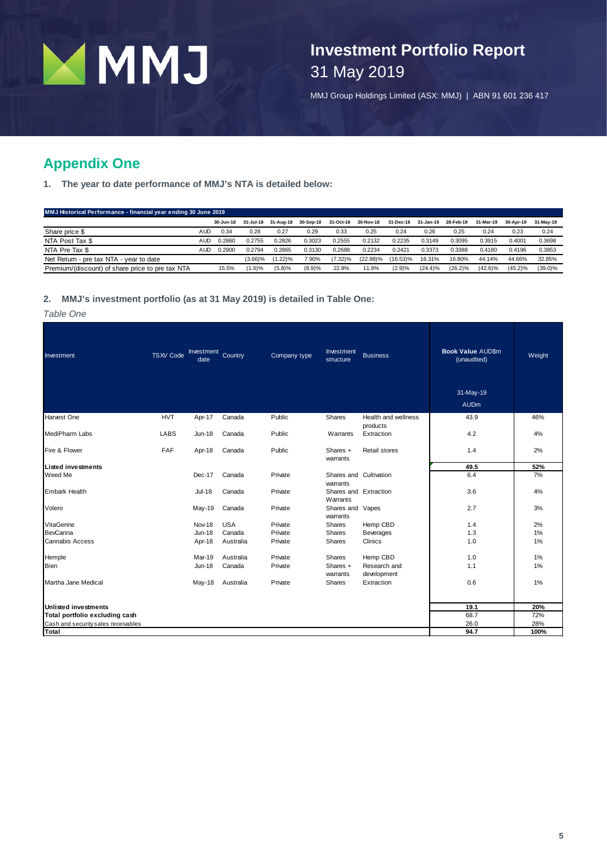

**Investment Portfolio Report** 31 May 2019

MMJ Group Holdings Limited (ASX: MMJ) | ABN 91 601 236 417

# **Appendix One**

**1. The year to date performance of MMJ's NTA is detailed below:**

#### **MMJ Historical Performance - financial year ending 30 June 2019**

|                                                  |     | 30-Jun-18 | 31-Jul-18  | 31-Aug-18 | 30-Sep-18 | 31-Oct-18  | 30-Nov-18   | 31-Dec-18   | 31-Jan-19 | 28-Feb-19 | 31-Mar-19  | 30-Apr-19  | 31-May-19  |
|--------------------------------------------------|-----|-----------|------------|-----------|-----------|------------|-------------|-------------|-----------|-----------|------------|------------|------------|
| Share price \$                                   | AUD | 0.34      | 0.28       | 0.27      | 0.29      | 0.33       | 0.25        | 0.24        | 0.26      | 0.25      | 0.24       | 0.23       | 0.24       |
| NTA Post Tax \$                                  | AUC | 0.2860    | 0.2755     | 0.2826    | 0.3023    | 0.2555     | 0.2132      | 0.2235      | 0.3149    | 0.3095    | 0.3915     | 0.4001     | 0.3698     |
| NTA Pre Tax \$                                   | AUD | 0.2900    | 0.2794     | 0.2865    | 0.3130    | 0.2688     | 0.2234      | 0.2421      | 0.3373    | 0.3388    | 0.4180     | 0.4196     | 0.3853     |
| Net Return - pre tax NTA - year to date          |     |           | $(3.66)\%$ | $1.22$ )% | 7.90%     | $(7.32)\%$ | $(22.98)\%$ | $(16.53)\%$ | 16.31%    | 16.80%    | 44.14%     | 44.66%     | 32.85%     |
| Premium/(discount) of share price to pre tax NTA |     | 15.5%     | (1.6)%     | (5.8)%    | (8.9)%    | 22.8%      | 11.9%       | (2.9)%      | (24.4)%   | (26.2)%   | $(42.6)\%$ | $(45.2)\%$ | $(39.0)\%$ |

#### **2. MMJ's investment portfolio (as at 31 May 2019) is detailed in Table One:**

#### *Table One*

| Investment                          | <b>TSXV</b> Code | Investment Country<br>date |            | Company type | Investment<br>structure            | <b>Business</b>                 | <b>Book Value AUD\$m</b><br>(unaudited) | Weight |
|-------------------------------------|------------------|----------------------------|------------|--------------|------------------------------------|---------------------------------|-----------------------------------------|--------|
|                                     |                  |                            |            |              |                                    |                                 | 31-May-19                               |        |
|                                     |                  |                            |            |              |                                    |                                 | <b>AUDm</b>                             |        |
| Harvest One                         | <b>HVT</b>       | Apr-17                     | Canada     | Public       | Shares                             | Health and wellness<br>products | 43.9                                    | 46%    |
| <b>MediPharm Labs</b>               | <b>LABS</b>      | <b>Jun-18</b>              | Canada     | Public       | Warrants                           | Extraction                      | 4.2                                     | 4%     |
| Fire & Flower                       | FAF              | Apr-18                     | Canada     | Public       | Shares +<br>warrants               | Retail stores                   | 1.4                                     | 2%     |
| <b>Listed investments</b>           |                  |                            |            |              |                                    |                                 | 49.5                                    | 52%    |
| Weed Me                             |                  | Dec-17                     | Canada     | Private      | Shares and Cultivation<br>warrants |                                 | 6.4                                     | 7%     |
| <b>Embark Health</b>                |                  | <b>Jul-18</b>              | Canada     | Private      | Shares and Extraction<br>Warrants  |                                 | 3.6                                     | 4%     |
| Volero                              |                  | May-19                     | Canada     | Private      | Shares and Vapes<br>warrants       |                                 | 2.7                                     | 3%     |
| VitaGenne                           |                  | Nov-18                     | <b>USA</b> | Private      | Shares                             | Hemp CBD                        | 1.4                                     | 2%     |
| <b>BevCanna</b>                     |                  | <b>Jun-18</b>              | Canada     | Private      | Shares                             | Beverages                       | 1.3                                     | 1%     |
| <b>Cannabis Access</b>              |                  | Apr-18                     | Australia  | Private      | Shares                             | Clinics                         | 1.0                                     | 1%     |
| Hemple                              |                  | Mar-19                     | Australia  | Private      | Shares                             | Hemp CBD                        | 1.0                                     | 1%     |
| <b>Bien</b>                         |                  | <b>Jun-18</b>              | Canada     | Private      | Shares +<br>warrants               | Research and<br>development     | 1.1                                     | 1%     |
| Martha Jane Medical                 |                  | May-18                     | Australia  | Private      | Shares                             | Extraction                      | 0.6                                     | 1%     |
| Unlisted investments                |                  |                            |            |              |                                    |                                 | 19.1                                    | 20%    |
| Total portfolio excluding cash      |                  |                            |            |              |                                    |                                 | 68.7                                    | 72%    |
| Cash and security sales receivables |                  |                            |            |              |                                    |                                 | 26.0                                    | 28%    |
| <b>Total</b>                        |                  |                            |            |              |                                    |                                 | 94.7                                    | 100%   |